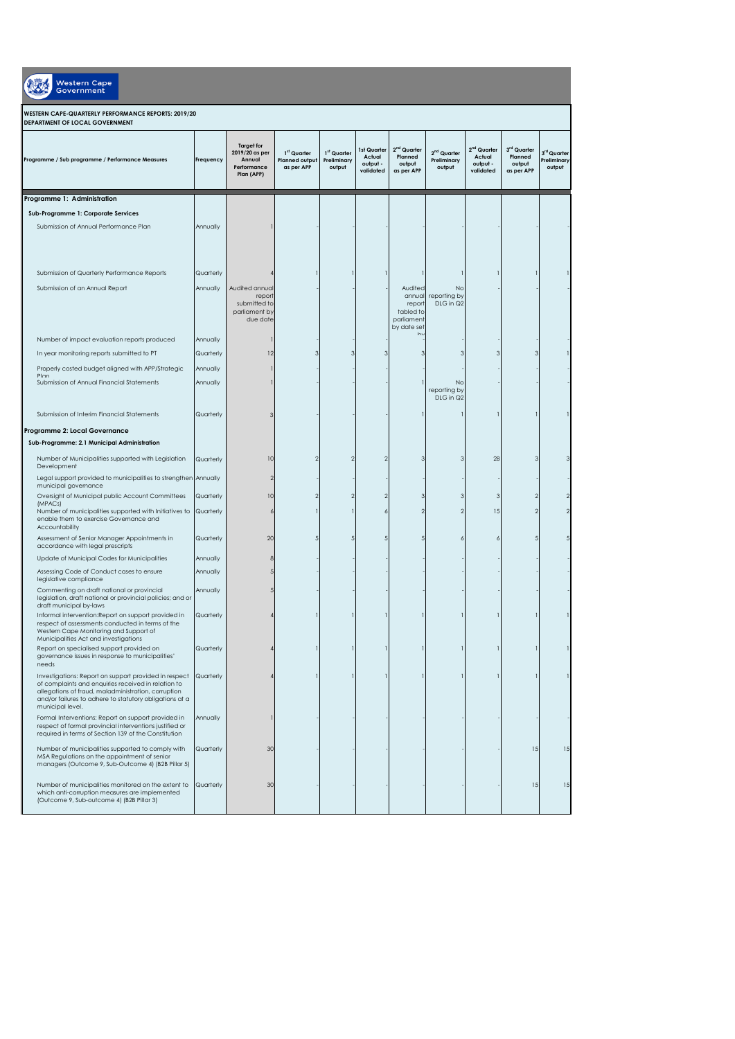| <b>Western Cape</b><br>Government                                                                                                                                                                                                                  |           |                                                                            |                                                                |                                      |                                                |                                                                            |                                        |                                                            |                                                |                                      |
|----------------------------------------------------------------------------------------------------------------------------------------------------------------------------------------------------------------------------------------------------|-----------|----------------------------------------------------------------------------|----------------------------------------------------------------|--------------------------------------|------------------------------------------------|----------------------------------------------------------------------------|----------------------------------------|------------------------------------------------------------|------------------------------------------------|--------------------------------------|
| WESTERN CAPE-QUARTERLY PERFORMANCE REPORTS: 2019/20<br>DEPARTMENT OF LOCAL GOVERNMENT                                                                                                                                                              |           |                                                                            |                                                                |                                      |                                                |                                                                            |                                        |                                                            |                                                |                                      |
| Programme / Sub programme / Performance Measures                                                                                                                                                                                                   | Frequency | <b>Target for</b><br>2019/20 as per<br>Annual<br>Performance<br>Plan (APP) | 1 <sup>st</sup> Quarter<br><b>Planned output</b><br>as per APP | 1st Quarter<br>Preliminary<br>output | 1st Quarter<br>Actual<br>output -<br>validated | 2 <sup>nd</sup> Quarter<br>Planned<br>output<br>as per APP                 | $2nd$ Quarter<br>Preliminary<br>output | 2 <sup>nd</sup> Quarter<br>Actual<br>output -<br>validated | 3rd Quarter<br>Planned<br>output<br>as per APP | 3rd Quarter<br>Preliminary<br>output |
| Programme 1: Administration                                                                                                                                                                                                                        |           |                                                                            |                                                                |                                      |                                                |                                                                            |                                        |                                                            |                                                |                                      |
| Sub-Programme 1: Corporate Services                                                                                                                                                                                                                |           |                                                                            |                                                                |                                      |                                                |                                                                            |                                        |                                                            |                                                |                                      |
| Submission of Annual Performance Plan                                                                                                                                                                                                              | Annually  |                                                                            |                                                                |                                      |                                                |                                                                            |                                        |                                                            |                                                |                                      |
| Submission of Quarterly Performance Reports                                                                                                                                                                                                        | Quarterly |                                                                            |                                                                |                                      |                                                |                                                                            |                                        |                                                            |                                                |                                      |
| Submission of an Annual Report                                                                                                                                                                                                                     | Annually  | Audited annual<br>report<br>submitted to<br>parliament by<br>due date      |                                                                |                                      |                                                | Audited<br>annual<br>report<br>tabled to<br>parliament<br>by date set<br>ы | No<br>reporting by<br>DLG in Q2        |                                                            |                                                |                                      |
| Number of impact evaluation reports produced                                                                                                                                                                                                       | Annually  |                                                                            |                                                                |                                      |                                                |                                                                            |                                        |                                                            |                                                |                                      |
| In year monitoring reports submitted to PT                                                                                                                                                                                                         | Quarterly | 12                                                                         |                                                                |                                      |                                                |                                                                            |                                        |                                                            |                                                |                                      |
| Properly costed budget aligned with APP/Strategic<br>Plan                                                                                                                                                                                          | Annually  |                                                                            |                                                                |                                      |                                                |                                                                            |                                        |                                                            |                                                |                                      |
| Submission of Annual Financial Statements                                                                                                                                                                                                          | Annually  |                                                                            |                                                                |                                      |                                                |                                                                            | No<br>reporting by<br>DLG in Q2        |                                                            |                                                |                                      |
| Submission of Interim Financial Statements                                                                                                                                                                                                         | Quarterly |                                                                            |                                                                |                                      |                                                |                                                                            |                                        |                                                            |                                                |                                      |
| Programme 2: Local Governance<br>Sub-Programme: 2.1 Municipal Administration                                                                                                                                                                       |           |                                                                            |                                                                |                                      |                                                |                                                                            |                                        |                                                            |                                                |                                      |
| Number of Municipalities supported with Legislation<br>Development                                                                                                                                                                                 | Quarterly | 10                                                                         |                                                                |                                      | $\mathfrak{D}$                                 | З                                                                          | 3                                      | 28                                                         | З                                              |                                      |
| Legal support provided to municipalities to strengthen<br>municipal governance                                                                                                                                                                     | Annually  | 2                                                                          |                                                                |                                      |                                                |                                                                            |                                        |                                                            |                                                |                                      |
| Oversight of Municipal public Account Committees                                                                                                                                                                                                   | Quarterly | 10                                                                         |                                                                |                                      | 2                                              |                                                                            |                                        |                                                            |                                                |                                      |
| (MPACs)<br>Number of municipalities supported with Initiatives to<br>enable them to exercise Governance and<br>Accountability                                                                                                                      | Quarterly | 6                                                                          |                                                                |                                      | 6                                              |                                                                            | 2                                      | 15                                                         |                                                |                                      |
| Assessment of Senior Manager Appointments in<br>accordance with legal prescripts                                                                                                                                                                   | Quarterly | 20                                                                         |                                                                |                                      |                                                |                                                                            |                                        |                                                            |                                                |                                      |
| Update of Municipal Codes for Municipalities                                                                                                                                                                                                       | Annually  |                                                                            |                                                                |                                      |                                                |                                                                            |                                        |                                                            |                                                |                                      |
| Assessing Code of Conduct cases to ensure<br>legislative compliance                                                                                                                                                                                | Annually  |                                                                            |                                                                |                                      |                                                |                                                                            |                                        |                                                            |                                                |                                      |
| Commenting on draft national or provincial<br>legislation, draft national or provincial policies; and or<br>draft municipal by-laws                                                                                                                | Annually  |                                                                            |                                                                |                                      |                                                |                                                                            |                                        |                                                            |                                                |                                      |
| Informal intervention: Report on support provided in<br>respect of assessments conducted in terms of the<br>Western Cape Monitoring and Support of<br>Municipalities Act and investigations                                                        | Quarterly |                                                                            |                                                                |                                      |                                                |                                                                            |                                        |                                                            |                                                |                                      |
| Report on specialised support provided on<br>governance issues in response to municipalities'<br>needs                                                                                                                                             | Quarterly |                                                                            |                                                                |                                      | -1                                             |                                                                            |                                        |                                                            |                                                |                                      |
| Investigations: Report on support provided in respect<br>of complaints and enquiries received in relation to<br>allegations of fraud, maladministration, corruption<br>and/or failures to adhere to statutory obligations at a<br>municipal level. | Quarterly |                                                                            |                                                                |                                      |                                                |                                                                            |                                        |                                                            |                                                |                                      |
| Formal Interventions: Report on support provided in<br>respect of formal provincial interventions justified or<br>required in terms of Section 139 of the Constitution                                                                             | Annually  |                                                                            |                                                                |                                      |                                                |                                                                            |                                        |                                                            |                                                |                                      |
| Number of municipalities supported to comply with<br>MSA Regulations on the appointment of senior<br>managers (Outcome 9, Sub-Outcome 4) (B2B Pillar 5)                                                                                            | Quarterly | 30                                                                         |                                                                |                                      |                                                |                                                                            |                                        |                                                            | 15                                             | 15                                   |
| Number of municipalities monitored on the extent to<br>which anti-corruption measures are implemented<br>(Outcome 9, Sub-outcome 4) (B2B Pillar 3)                                                                                                 | Quarterly | 30                                                                         |                                                                |                                      |                                                |                                                                            |                                        |                                                            | 15                                             | 15                                   |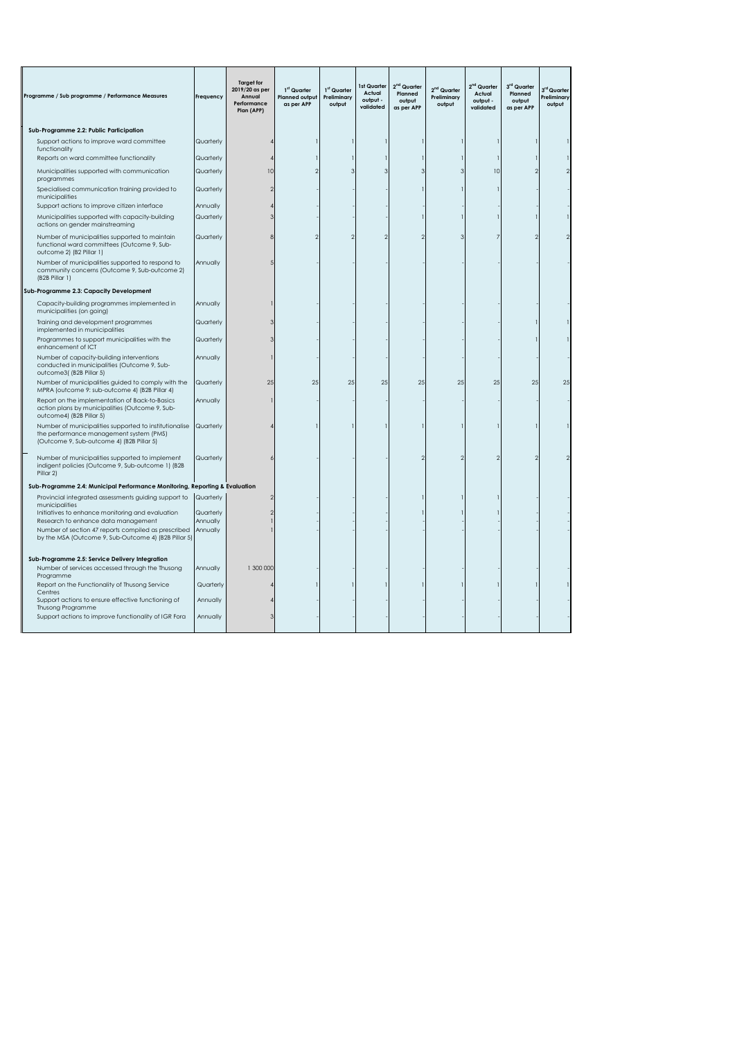| Programme / Sub programme / Performance Measures                                                                                                   | Frequency            | <b>Target for</b><br>2019/20 as per<br>Annual<br>Performance<br>Plan (APP) | 1st Quarter<br><b>Planned output</b><br>as per APP | 1st Quarter<br>Preliminary<br>output | 1st Quarter<br>Actual<br>output -<br>validated | 2 <sup>nd</sup> Quarter<br>Planned<br>output<br>as per APP | 2 <sup>nd</sup> Quarter<br>Preliminary<br>output | 2 <sup>nd</sup> Quarter<br>Actual<br>output -<br>validated | 3rd Quarter<br>Planned<br>output<br>as per APP | 3 <sup>rd</sup> Quarter<br>Preliminary<br>output |
|----------------------------------------------------------------------------------------------------------------------------------------------------|----------------------|----------------------------------------------------------------------------|----------------------------------------------------|--------------------------------------|------------------------------------------------|------------------------------------------------------------|--------------------------------------------------|------------------------------------------------------------|------------------------------------------------|--------------------------------------------------|
| Sub-Programme 2.2: Public Participation                                                                                                            |                      |                                                                            |                                                    |                                      |                                                |                                                            |                                                  |                                                            |                                                |                                                  |
| Support actions to improve ward committee<br>functionality                                                                                         | Quarterly            |                                                                            |                                                    |                                      |                                                |                                                            |                                                  |                                                            |                                                |                                                  |
| Reports on ward committee functionality                                                                                                            | Quarterly            |                                                                            |                                                    |                                      |                                                |                                                            |                                                  |                                                            |                                                |                                                  |
| Municipalities supported with communication<br>programmes                                                                                          | Quarterly            | 10                                                                         |                                                    |                                      | 3                                              |                                                            |                                                  | 10                                                         |                                                |                                                  |
| Specialised communication training provided to<br>municipalities                                                                                   | Quarterly            |                                                                            |                                                    |                                      |                                                |                                                            |                                                  |                                                            |                                                |                                                  |
| Support actions to improve citizen interface                                                                                                       | Annually             |                                                                            |                                                    |                                      |                                                |                                                            |                                                  |                                                            |                                                |                                                  |
| Municipalities supported with capacity-building<br>actions on gender mainstreaming                                                                 | Quarterly            |                                                                            |                                                    |                                      |                                                |                                                            |                                                  |                                                            |                                                |                                                  |
| Number of municipalities supported to maintain<br>functional ward committees (Outcome 9, Sub-<br>outcome 2) (B2 Pillar 1)                          | Quarterly            |                                                                            |                                                    |                                      |                                                |                                                            |                                                  |                                                            |                                                |                                                  |
| Number of municipalities supported to respond to<br>community concerns (Outcome 9, Sub-outcome 2)<br>(B2B Pillar 1)                                | Annually             |                                                                            |                                                    |                                      |                                                |                                                            |                                                  |                                                            |                                                |                                                  |
| Sub-Programme 2.3: Capacity Development                                                                                                            |                      |                                                                            |                                                    |                                      |                                                |                                                            |                                                  |                                                            |                                                |                                                  |
| Capacity-building programmes implemented in<br>municipalities (on going)                                                                           | Annually             |                                                                            |                                                    |                                      |                                                |                                                            |                                                  |                                                            |                                                |                                                  |
| Training and development programmes<br>implemented in municipalities                                                                               | Quarterly            |                                                                            |                                                    |                                      |                                                |                                                            |                                                  |                                                            |                                                |                                                  |
| Programmes to support municipalities with the<br>enhancement of ICT                                                                                | Quarterly            |                                                                            |                                                    |                                      |                                                |                                                            |                                                  |                                                            |                                                |                                                  |
| Number of capacity-building interventions<br>conducted in municipalities (Outcome 9, Sub-<br>outcome3((B2B Pillar 5)                               | Annually             |                                                                            |                                                    |                                      |                                                |                                                            |                                                  |                                                            |                                                |                                                  |
| Number of municipalities guided to comply with the<br>MPRA (outcome 9: sub-outcome 4) (B2B Pillar 4)                                               | Quarterly            | 25                                                                         | 25                                                 | 25                                   | 25                                             | 25                                                         | 25                                               | 25                                                         | 25                                             | 25                                               |
| Report on the implementation of Back-to-Basics<br>action plans by municipalities (Outcome 9, Sub-<br>outcome4) (B2B Pillar 5)                      | Annually             |                                                                            |                                                    |                                      |                                                |                                                            |                                                  |                                                            |                                                |                                                  |
| Number of municipalities supported to institutionalise<br>the performance management system (PMS)<br>(Outcome 9, Sub-outcome 4) (B2B Pillar 5)     | Quarterly            |                                                                            |                                                    |                                      |                                                |                                                            |                                                  |                                                            |                                                |                                                  |
| Number of municipalities supported to implement<br>indigent policies (Outcome 9, Sub-outcome 1) (B2B<br>Pillar 2)                                  | Quarterly            |                                                                            |                                                    |                                      |                                                |                                                            |                                                  |                                                            |                                                |                                                  |
| Sub-Programme 2.4: Municipal Performance Monitoring, Reporting & Evaluation                                                                        |                      |                                                                            |                                                    |                                      |                                                |                                                            |                                                  |                                                            |                                                |                                                  |
| Provincial integrated assessments guiding support to<br>municipalities                                                                             | Quarterly            |                                                                            |                                                    |                                      |                                                |                                                            |                                                  |                                                            |                                                |                                                  |
| Initiatives to enhance monitoring and evaluation                                                                                                   | Quarterly            |                                                                            |                                                    |                                      |                                                |                                                            |                                                  |                                                            |                                                |                                                  |
| Research to enhance data management<br>Number of section 47 reports compiled as prescribed<br>by the MSA (Outcome 9, Sub-Outcome 4) (B2B Pillar 5) | Annually<br>Annually |                                                                            |                                                    |                                      |                                                |                                                            |                                                  |                                                            |                                                |                                                  |
| Sub-Programme 2.5: Service Delivery Integration                                                                                                    |                      |                                                                            |                                                    |                                      |                                                |                                                            |                                                  |                                                            |                                                |                                                  |
| Number of services accessed through the Thusong<br>Programme                                                                                       | Annually             | 1 300 000                                                                  |                                                    |                                      |                                                |                                                            |                                                  |                                                            |                                                |                                                  |
| Report on the Functionality of Thusong Service<br>Centres                                                                                          | Quarterly            |                                                                            |                                                    |                                      |                                                |                                                            |                                                  |                                                            |                                                |                                                  |
| Support actions to ensure effective functioning of<br>Thusong Programme                                                                            | Annually             |                                                                            |                                                    |                                      |                                                |                                                            |                                                  |                                                            |                                                |                                                  |
| Support actions to improve functionality of IGR Fora                                                                                               | Annually             |                                                                            |                                                    |                                      |                                                |                                                            |                                                  |                                                            |                                                |                                                  |